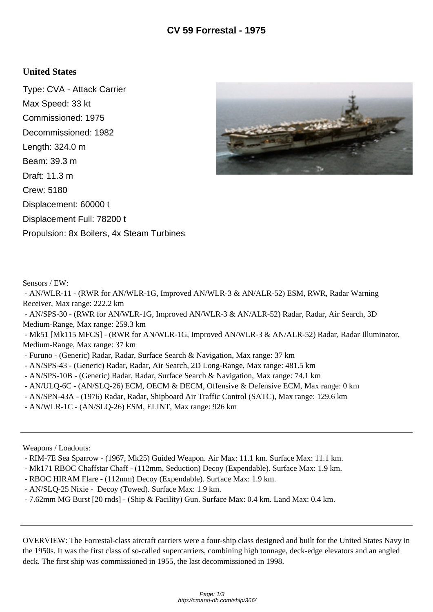## **United States**

Type: CVA - Attack Carrier Max Speed: 33 kt Commissioned: 1975 Decommissioned: 1982 Length: 324.0 m Beam: 39.3 m Draft: 11.3 m Crew: 5180 Displacement: 60000 t Displacement Full: 78200 t Propulsion: 8x Boilers, 4x Steam Turbines



Sensors / EW:

 - AN/WLR-11 - (RWR for AN/WLR-1G, Improved AN/WLR-3 & AN/ALR-52) ESM, RWR, Radar Warning Receiver, Max range: 222.2 km

 - AN/SPS-30 - (RWR for AN/WLR-1G, Improved AN/WLR-3 & AN/ALR-52) Radar, Radar, Air Search, 3D Medium-Range, Max range: 259.3 km

 - Mk51 [Mk115 MFCS] - (RWR for AN/WLR-1G, Improved AN/WLR-3 & AN/ALR-52) Radar, Radar Illuminator, Medium-Range, Max range: 37 km

- Furuno - (Generic) Radar, Radar, Surface Search & Navigation, Max range: 37 km

- AN/SPS-43 - (Generic) Radar, Radar, Air Search, 2D Long-Range, Max range: 481.5 km

- AN/SPS-10B (Generic) Radar, Radar, Surface Search & Navigation, Max range: 74.1 km
- AN/ULQ-6C (AN/SLQ-26) ECM, OECM & DECM, Offensive & Defensive ECM, Max range: 0 km
- AN/SPN-43A (1976) Radar, Radar, Shipboard Air Traffic Control (SATC), Max range: 129.6 km
- AN/WLR-1C (AN/SLQ-26) ESM, ELINT, Max range: 926 km

Weapons / Loadouts:

- RIM-7E Sea Sparrow (1967, Mk25) Guided Weapon. Air Max: 11.1 km. Surface Max: 11.1 km.
- Mk171 RBOC Chaffstar Chaff (112mm, Seduction) Decoy (Expendable). Surface Max: 1.9 km.
- RBOC HIRAM Flare (112mm) Decoy (Expendable). Surface Max: 1.9 km.
- AN/SLQ-25 Nixie Decoy (Towed). Surface Max: 1.9 km.
- 7.62mm MG Burst [20 rnds] (Ship & Facility) Gun. Surface Max: 0.4 km. Land Max: 0.4 km.

OVERVIEW: The Forrestal-class aircraft carriers were a four-ship class designed and built for the United States Navy in the 1950s. It was the first class of so-called supercarriers, combining high tonnage, deck-edge elevators and an angled deck. The first ship was commissioned in 1955, the last decommissioned in 1998.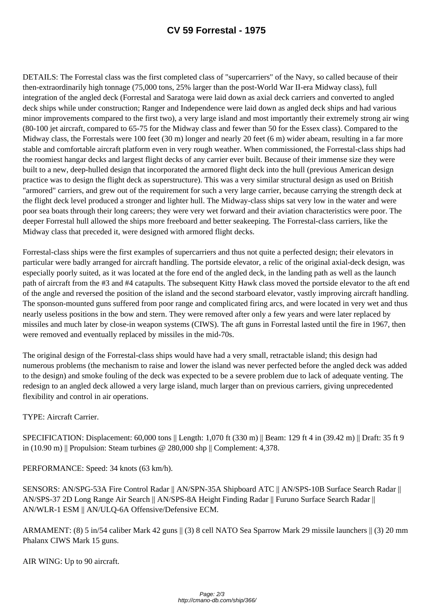DETAILS: The Forrestal class was the first completed class of "supercarriers" of the Navy, so called because of their then-extraordinarily high tonnage (75,000 tons, 25% larger than the post-World War II-era Midway class), full integration of the angled deck (Forrestal and Saratoga were laid down as axial deck carriers and converted to angled deck ships while under construction; Ranger and Independence were laid down as angled deck ships and had various minor improvements compared to the first two), a very large island and most importantly their extremely strong air wing (80-100 jet aircraft, compared to 65-75 for the Midway class and fewer than 50 for the Essex class). Compared to the Midway class, the Forrestals were 100 feet (30 m) longer and nearly 20 feet (6 m) wider abeam, resulting in a far more stable and comfortable aircraft platform even in very rough weather. When commissioned, the Forrestal-class ships had the roomiest hangar decks and largest flight decks of any carrier ever built. Because of their immense size they were built to a new, deep-hulled design that incorporated the armored flight deck into the hull (previous American design practice was to design the flight deck as superstructure). This was a very similar structural design as used on British "armored" carriers, and grew out of the requirement for such a very large carrier, because carrying the strength deck at the flight deck level produced a stronger and lighter hull. The Midway-class ships sat very low in the water and were poor sea boats through their long careers; they were very wet forward and their aviation characteristics were poor. The deeper Forrestal hull allowed the ships more freeboard and better seakeeping. The Forrestal-class carriers, like the Midway class that preceded it, were designed with armored flight decks.

Forrestal-class ships were the first examples of supercarriers and thus not quite a perfected design; their elevators in particular were badly arranged for aircraft handling. The portside elevator, a relic of the original axial-deck design, was especially poorly suited, as it was located at the fore end of the angled deck, in the landing path as well as the launch path of aircraft from the #3 and #4 catapults. The subsequent Kitty Hawk class moved the portside elevator to the aft end of the angle and reversed the position of the island and the second starboard elevator, vastly improving aircraft handling. The sponson-mounted guns suffered from poor range and complicated firing arcs, and were located in very wet and thus nearly useless positions in the bow and stern. They were removed after only a few years and were later replaced by missiles and much later by close-in weapon systems (CIWS). The aft guns in Forrestal lasted until the fire in 1967, then were removed and eventually replaced by missiles in the mid-70s.

The original design of the Forrestal-class ships would have had a very small, retractable island; this design had numerous problems (the mechanism to raise and lower the island was never perfected before the angled deck was added to the design) and smoke fouling of the deck was expected to be a severe problem due to lack of adequate venting. The redesign to an angled deck allowed a very large island, much larger than on previous carriers, giving unprecedented flexibility and control in air operations.

TYPE: Aircraft Carrier.

SPECIFICATION: Displacement: 60,000 tons || Length: 1,070 ft (330 m) || Beam: 129 ft 4 in (39.42 m) || Draft: 35 ft 9 in (10.90 m) || Propulsion: Steam turbines @ 280,000 shp || Complement: 4,378.

PERFORMANCE: Speed: 34 knots (63 km/h).

SENSORS: AN/SPG-53A Fire Control Radar || AN/SPN-35A Shipboard ATC || AN/SPS-10B Surface Search Radar || AN/SPS-37 2D Long Range Air Search || AN/SPS-8A Height Finding Radar || Furuno Surface Search Radar || AN/WLR-1 ESM || AN/ULQ-6A Offensive/Defensive ECM.

ARMAMENT: (8) 5 in/54 caliber Mark 42 guns || (3) 8 cell NATO Sea Sparrow Mark 29 missile launchers || (3) 20 mm Phalanx CIWS Mark 15 guns.

AIR WING: Up to 90 aircraft.